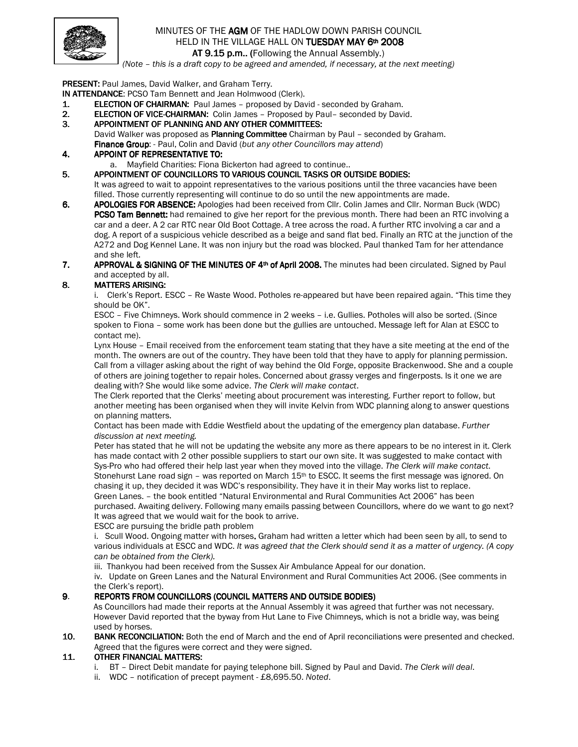

### MINUTES OF THE AGM OF THE HADLOW DOWN PARISH COUNCIL HELD IN THE VILLAGE HALL ON TUESDAY MAY 6th 2008 AT 9.15 p.m.. (Following the Annual Assembly.)

(Note – this is a draft copy to be agreed and amended, if necessary, at the next meeting)

PRESENT: Paul James, David Walker, and Graham Terry.

IN ATTENDANCE: PCSO Tam Bennett and Jean Holmwood (Clerk).

- 1. ELECTION OF CHAIRMAN: Paul James proposed by David seconded by Graham.
- 2. ELECTION OF VICE-CHAIRMAN: Colin James Proposed by Paul– seconded by David.
- 3. APPOINTMENT OF PLANNING AND ANY OTHER COMMITTEES: David Walker was proposed as Planning Committee Chairman by Paul – seconded by Graham. Finance Group: - Paul, Colin and David (but any other Councillors may attend)

### 4. APPOINT OF REPRESENTATIVE TO:

- a. Mayfield Charities: Fiona Bickerton had agreed to continue..
- 5. APPOINTMENT OF COUNCILLORS TO VARIOUS COUNCIL TASKS OR OUTSIDE BODIES:

It was agreed to wait to appoint representatives to the various positions until the three vacancies have been filled. Those currently representing will continue to do so until the new appointments are made.

6. APOLOGIES FOR ABSENCE: Apologies had been received from Cllr. Colin James and Cllr. Norman Buck (WDC) **PCSO Tam Bennett:** had remained to give her report for the previous month. There had been an RTC involving a car and a deer. A 2 car RTC near Old Boot Cottage. A tree across the road. A further RTC involving a car and a dog. A report of a suspicious vehicle described as a beige and sand flat bed. Finally an RTC at the junction of the A272 and Dog Kennel Lane. It was non injury but the road was blocked. Paul thanked Tam for her attendance and she left.

#### 7. APPROVAL & SIGNING OF THE MINUTES OF 4<sup>th</sup> of April 2008. The minutes had been circulated. Signed by Paul and accepted by all.

## 8. MATTERS ARISING:

i. Clerk's Report. ESCC – Re Waste Wood. Potholes re-appeared but have been repaired again. "This time they should be OK".

ESCC – Five Chimneys. Work should commence in 2 weeks – i.e. Gullies. Potholes will also be sorted. (Since spoken to Fiona – some work has been done but the gullies are untouched. Message left for Alan at ESCC to contact me).

Lynx House – Email received from the enforcement team stating that they have a site meeting at the end of the month. The owners are out of the country. They have been told that they have to apply for planning permission. Call from a villager asking about the right of way behind the Old Forge, opposite Brackenwood. She and a couple of others are joining together to repair holes. Concerned about grassy verges and fingerposts. Is it one we are dealing with? She would like some advice. The Clerk will make contact.

The Clerk reported that the Clerks' meeting about procurement was interesting. Further report to follow, but another meeting has been organised when they will invite Kelvin from WDC planning along to answer questions on planning matters.

Contact has been made with Eddie Westfield about the updating of the emergency plan database. Further discussion at next meeting.

Peter has stated that he will not be updating the website any more as there appears to be no interest in it. Clerk has made contact with 2 other possible suppliers to start our own site. It was suggested to make contact with Sys-Pro who had offered their help last year when they moved into the village. The Clerk will make contact. Stonehurst Lane road sign - was reported on March 15<sup>th</sup> to ESCC. It seems the first message was ignored. On chasing it up, they decided it was WDC's responsibility. They have it in their May works list to replace. Green Lanes. – the book entitled "Natural Environmental and Rural Communities Act 2006" has been purchased. Awaiting delivery. Following many emails passing between Councillors, where do we want to go next? It was agreed that we would wait for the book to arrive.

ESCC are pursuing the bridle path problem

i. Scull Wood. Ongoing matter with horses. Graham had written a letter which had been seen by all, to send to various individuals at ESCC and WDC. It was agreed that the Clerk should send it as a matter of urgency. (A copy can be obtained from the Clerk).

iii. Thankyou had been received from the Sussex Air Ambulance Appeal for our donation.

iv. Update on Green Lanes and the Natural Environment and Rural Communities Act 2006. (See comments in the Clerk's report).

### 9. REPORTS FROM COUNCILLORS (COUNCIL MATTERS AND OUTSIDE BODIES)

As Councillors had made their reports at the Annual Assembly it was agreed that further was not necessary. However David reported that the byway from Hut Lane to Five Chimneys, which is not a bridle way, was being used by horses.

10. BANK RECONCILIATION: Both the end of March and the end of April reconciliations were presented and checked. Agreed that the figures were correct and they were signed.

### 11. OTHER FINANCIAL MATTERS:

- i. BT Direct Debit mandate for paying telephone bill. Signed by Paul and David. The Clerk will deal.
- ii. WDC notification of precept payment £8,695.50. Noted.